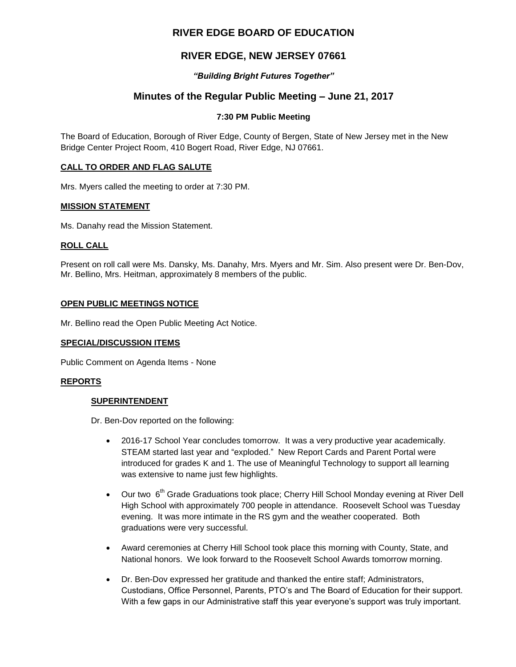# **RIVER EDGE BOARD OF EDUCATION**

# **RIVER EDGE, NEW JERSEY 07661**

## *"Building Bright Futures Together"*

# **Minutes of the Regular Public Meeting – June 21, 2017**

### **7:30 PM Public Meeting**

The Board of Education, Borough of River Edge, County of Bergen, State of New Jersey met in the New Bridge Center Project Room, 410 Bogert Road, River Edge, NJ 07661.

### **CALL TO ORDER AND FLAG SALUTE**

Mrs. Myers called the meeting to order at 7:30 PM.

### **MISSION STATEMENT**

Ms. Danahy read the Mission Statement.

### **ROLL CALL**

Present on roll call were Ms. Dansky, Ms. Danahy, Mrs. Myers and Mr. Sim. Also present were Dr. Ben-Dov, Mr. Bellino, Mrs. Heitman, approximately 8 members of the public.

### **OPEN PUBLIC MEETINGS NOTICE**

Mr. Bellino read the Open Public Meeting Act Notice.

### **SPECIAL/DISCUSSION ITEMS**

Public Comment on Agenda Items - None

### **REPORTS**

### **SUPERINTENDENT**

Dr. Ben-Dov reported on the following:

- 2016-17 School Year concludes tomorrow. It was a very productive year academically. STEAM started last year and "exploded." New Report Cards and Parent Portal were introduced for grades K and 1. The use of Meaningful Technology to support all learning was extensive to name just few highlights.
- Our two 6<sup>th</sup> Grade Graduations took place; Cherry Hill School Monday evening at River Dell High School with approximately 700 people in attendance. Roosevelt School was Tuesday evening. It was more intimate in the RS gym and the weather cooperated. Both graduations were very successful.
- Award ceremonies at Cherry Hill School took place this morning with County, State, and National honors. We look forward to the Roosevelt School Awards tomorrow morning.
- Dr. Ben-Dov expressed her gratitude and thanked the entire staff; Administrators, Custodians, Office Personnel, Parents, PTO's and The Board of Education for their support. With a few gaps in our Administrative staff this year everyone's support was truly important.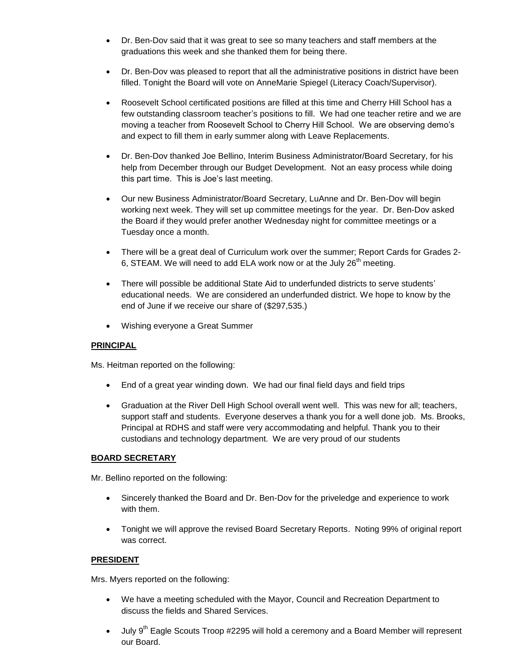- Dr. Ben-Dov said that it was great to see so many teachers and staff members at the graduations this week and she thanked them for being there.
- Dr. Ben-Dov was pleased to report that all the administrative positions in district have been filled. Tonight the Board will vote on AnneMarie Spiegel (Literacy Coach/Supervisor).
- Roosevelt School certificated positions are filled at this time and Cherry Hill School has a few outstanding classroom teacher's positions to fill. We had one teacher retire and we are moving a teacher from Roosevelt School to Cherry Hill School. We are observing demo's and expect to fill them in early summer along with Leave Replacements.
- Dr. Ben-Dov thanked Joe Bellino, Interim Business Administrator/Board Secretary, for his help from December through our Budget Development. Not an easy process while doing this part time. This is Joe's last meeting.
- Our new Business Administrator/Board Secretary, LuAnne and Dr. Ben-Dov will begin working next week. They will set up committee meetings for the year. Dr. Ben-Dov asked the Board if they would prefer another Wednesday night for committee meetings or a Tuesday once a month.
- There will be a great deal of Curriculum work over the summer; Report Cards for Grades 2- 6, STEAM. We will need to add ELA work now or at the July  $26<sup>th</sup>$  meeting.
- There will possible be additional State Aid to underfunded districts to serve students' educational needs. We are considered an underfunded district. We hope to know by the end of June if we receive our share of (\$297,535.)
- Wishing everyone a Great Summer

# **PRINCIPAL**

Ms. Heitman reported on the following:

- End of a great year winding down. We had our final field days and field trips
- Graduation at the River Dell High School overall went well. This was new for all; teachers, support staff and students. Everyone deserves a thank you for a well done job. Ms. Brooks, Principal at RDHS and staff were very accommodating and helpful. Thank you to their custodians and technology department. We are very proud of our students

## **BOARD SECRETARY**

Mr. Bellino reported on the following:

- Sincerely thanked the Board and Dr. Ben-Dov for the priveledge and experience to work with them.
- Tonight we will approve the revised Board Secretary Reports. Noting 99% of original report was correct.

## **PRESIDENT**

Mrs. Myers reported on the following:

- We have a meeting scheduled with the Mayor, Council and Recreation Department to discuss the fields and Shared Services.
- $\bullet$  July 9<sup>th</sup> Eagle Scouts Troop #2295 will hold a ceremony and a Board Member will represent our Board.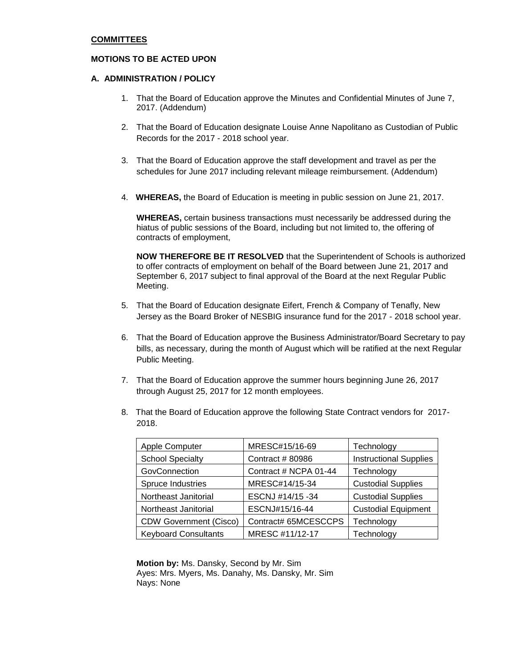### **MOTIONS TO BE ACTED UPON**

## **A. ADMINISTRATION / POLICY**

- 1. That the Board of Education approve the Minutes and Confidential Minutes of June 7, 2017. (Addendum)
- 2. That the Board of Education designate Louise Anne Napolitano as Custodian of Public Records for the 2017 - 2018 school year.
- 3. That the Board of Education approve the staff development and travel as per the schedules for June 2017 including relevant mileage reimbursement. (Addendum)
- 4. **WHEREAS,** the Board of Education is meeting in public session on June 21, 2017.

**WHEREAS,** certain business transactions must necessarily be addressed during the hiatus of public sessions of the Board, including but not limited to, the offering of contracts of employment,

**NOW THEREFORE BE IT RESOLVED** that the Superintendent of Schools is authorized to offer contracts of employment on behalf of the Board between June 21, 2017 and September 6, 2017 subject to final approval of the Board at the next Regular Public Meeting.

- 5. That the Board of Education designate Eifert, French & Company of Tenafly, New Jersey as the Board Broker of NESBIG insurance fund for the 2017 - 2018 school year.
- 6. That the Board of Education approve the Business Administrator/Board Secretary to pay bills, as necessary, during the month of August which will be ratified at the next Regular Public Meeting.
- 7. That the Board of Education approve the summer hours beginning June 26, 2017 through August 25, 2017 for 12 month employees.
- 8. That the Board of Education approve the following State Contract vendors for 2017- 2018.

| Apple Computer                | MRESC#15/16-69        | Technology                    |
|-------------------------------|-----------------------|-------------------------------|
| <b>School Specialty</b>       | Contract #80986       | <b>Instructional Supplies</b> |
| GovConnection                 | Contract # NCPA 01-44 | Technology                    |
| Spruce Industries             | MRESC#14/15-34        | <b>Custodial Supplies</b>     |
| Northeast Janitorial          | ESCNJ #14/15 -34      | <b>Custodial Supplies</b>     |
| Northeast Janitorial          | ESCNJ#15/16-44        | <b>Custodial Equipment</b>    |
| <b>CDW Government (Cisco)</b> | Contract# 65MCESCCPS  | Technology                    |
| <b>Keyboard Consultants</b>   | MRESC #11/12-17       | Technology                    |

**Motion by:** Ms. Dansky, Second by Mr. Sim Ayes: Mrs. Myers, Ms. Danahy, Ms. Dansky, Mr. Sim Nays: None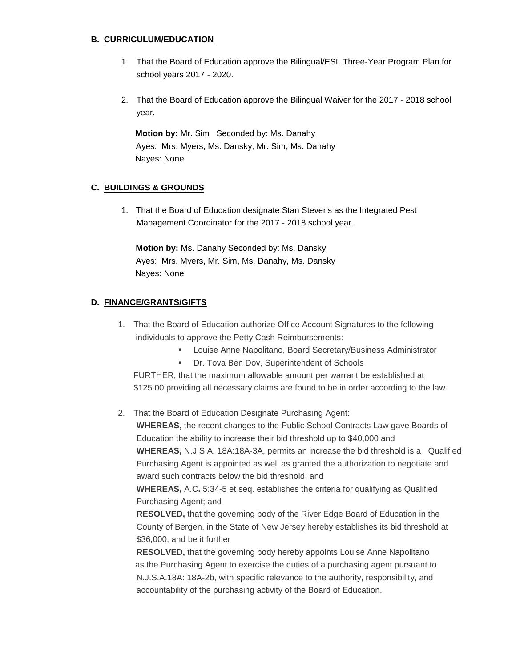## **B. CURRICULUM/EDUCATION**

- 1. That the Board of Education approve the Bilingual/ESL Three-Year Program Plan for school years 2017 - 2020.
- 2. That the Board of Education approve the Bilingual Waiver for the 2017 2018 school year.

 **Motion by:** Mr. Sim Seconded by: Ms. Danahy Ayes: Mrs. Myers, Ms. Dansky, Mr. Sim, Ms. Danahy Nayes: None

# **C. BUILDINGS & GROUNDS**

1. That the Board of Education designate Stan Stevens as the Integrated Pest Management Coordinator for the 2017 - 2018 school year.

 **Motion by:** Ms. Danahy Seconded by: Ms. Dansky Ayes: Mrs. Myers, Mr. Sim, Ms. Danahy, Ms. Dansky Nayes: None

## **D. FINANCE/GRANTS/GIFTS**

- 1.That the Board of Education authorize Office Account Signatures to the following individuals to approve the Petty Cash Reimbursements:
	- **EXEC** Louise Anne Napolitano, Board Secretary/Business Administrator
	- **Dr. Tova Ben Dov, Superintendent of Schools**

 FURTHER, that the maximum allowable amount per warrant be established at \$125.00 providing all necessary claims are found to be in order according to the law.

2. That the Board of Education Designate Purchasing Agent:

**WHEREAS,** the recent changes to the Public School Contracts Law gave Boards of Education the ability to increase their bid threshold up to \$40,000 and **WHEREAS,** N.J.S.A. 18A:18A-3A, permits an increase the bid threshold is a Qualified Purchasing Agent is appointed as well as granted the authorization to negotiate and award such contracts below the bid threshold: and

**WHEREAS,** A.C**.** 5:34-5 et seq. establishes the criteria for qualifying as Qualified Purchasing Agent; and

**RESOLVED,** that the governing body of the River Edge Board of Education in the County of Bergen, in the State of New Jersey hereby establishes its bid threshold at \$36,000; and be it further

**RESOLVED,** that the governing body hereby appoints Louise Anne Napolitano as the Purchasing Agent to exercise the duties of a purchasing agent pursuant to N.J.S.A.18A: 18A-2b, with specific relevance to the authority, responsibility, and accountability of the purchasing activity of the Board of Education.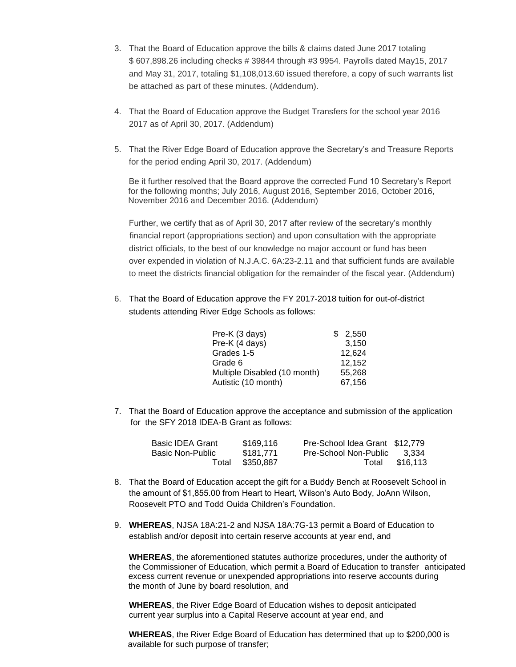- 3. That the Board of Education approve the bills & claims dated June 2017 totaling \$ 607,898.26 including checks # 39844 through #3 9954. Payrolls dated May15, 2017 and May 31, 2017, totaling \$1,108,013.60 issued therefore, a copy of such warrants list be attached as part of these minutes. (Addendum).
- 4. That the Board of Education approve the Budget Transfers for the school year 2016 2017 as of April 30, 2017. (Addendum)
- 5. That the River Edge Board of Education approve the Secretary's and Treasure Reports for the period ending April 30, 2017. (Addendum)

Be it further resolved that the Board approve the corrected Fund 10 Secretary's Report for the following months; July 2016, August 2016, September 2016, October 2016, November 2016 and December 2016. (Addendum)

Further, we certify that as of April 30, 2017 after review of the secretary's monthly financial report (appropriations section) and upon consultation with the appropriate district officials, to the best of our knowledge no major account or fund has been over expended in violation of N.J.A.C. 6A:23-2.11 and that sufficient funds are available to meet the districts financial obligation for the remainder of the fiscal year. (Addendum)

6. That the Board of Education approve the FY 2017-2018 tuition for out-of-district students attending River Edge Schools as follows:

| Pre-K (3 days)               | \$2.550 |
|------------------------------|---------|
| Pre-K (4 days)               | 3,150   |
| Grades 1-5                   | 12,624  |
| Grade 6                      | 12,152  |
| Multiple Disabled (10 month) | 55.268  |
| Autistic (10 month)          | 67,156  |

7. That the Board of Education approve the acceptance and submission of the application for the SFY 2018 IDEA-B Grant as follows:

| <b>Basic IDEA Grant</b> | \$169.116 | Pre-School Idea Grant \$12,779 |          |
|-------------------------|-----------|--------------------------------|----------|
| Basic Non-Public        | \$181.771 | Pre-School Non-Public          | - 3.334  |
| Total                   | \$350.887 | Total                          | \$16.113 |

- 8. That the Board of Education accept the gift for a Buddy Bench at Roosevelt School in the amount of \$1,855.00 from Heart to Heart, Wilson's Auto Body, JoAnn Wilson, Roosevelt PTO and Todd Ouida Children's Foundation.
- 9. **WHEREAS**, NJSA 18A:21-2 and NJSA 18A:7G-13 permit a Board of Education to establish and/or deposit into certain reserve accounts at year end, and

**WHEREAS**, the aforementioned statutes authorize procedures, under the authority of the Commissioner of Education, which permit a Board of Education to transfer anticipated excess current revenue or unexpended appropriations into reserve accounts during the month of June by board resolution, and

**WHEREAS**, the River Edge Board of Education wishes to deposit anticipated current year surplus into a Capital Reserve account at year end, and

**WHEREAS**, the River Edge Board of Education has determined that up to \$200,000 is available for such purpose of transfer;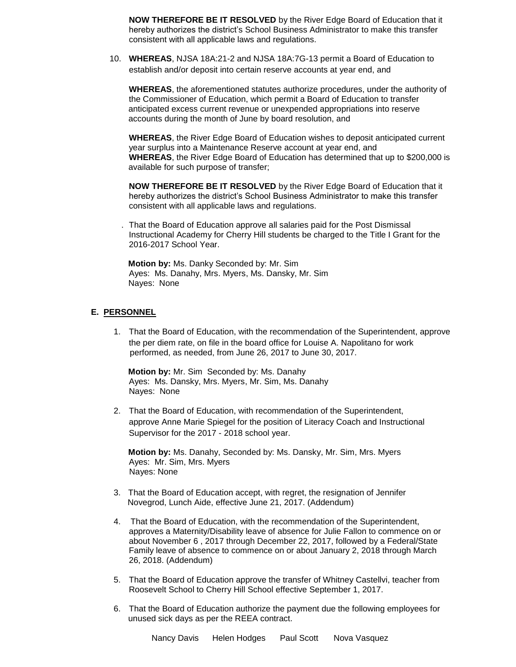**NOW THEREFORE BE IT RESOLVED** by the River Edge Board of Education that it hereby authorizes the district's School Business Administrator to make this transfer consistent with all applicable laws and regulations.

10. **WHEREAS**, NJSA 18A:21-2 and NJSA 18A:7G-13 permit a Board of Education to establish and/or deposit into certain reserve accounts at year end, and

**WHEREAS**, the aforementioned statutes authorize procedures, under the authority of the Commissioner of Education, which permit a Board of Education to transfer anticipated excess current revenue or unexpended appropriations into reserve accounts during the month of June by board resolution, and

**WHEREAS**, the River Edge Board of Education wishes to deposit anticipated current year surplus into a Maintenance Reserve account at year end, and **WHEREAS**, the River Edge Board of Education has determined that up to \$200,000 is available for such purpose of transfer;

**NOW THEREFORE BE IT RESOLVED** by the River Edge Board of Education that it hereby authorizes the district's School Business Administrator to make this transfer consistent with all applicable laws and regulations.

. That the Board of Education approve all salaries paid for the Post Dismissal Instructional Academy for Cherry Hill students be charged to the Title I Grant for the 2016-2017 School Year.

 **Motion by:** Ms. Danky Seconded by: Mr. Sim Ayes: Ms. Danahy, Mrs. Myers, Ms. Dansky, Mr. Sim Nayes: None

### **E. PERSONNEL**

1. That the Board of Education, with the recommendation of the Superintendent, approve the per diem rate, on file in the board office for Louise A. Napolitano for work performed, as needed, from June 26, 2017 to June 30, 2017.

 **Motion by:** Mr. Sim Seconded by: Ms. Danahy Ayes: Ms. Dansky, Mrs. Myers, Mr. Sim, Ms. Danahy Nayes: None

2. That the Board of Education, with recommendation of the Superintendent, approve Anne Marie Spiegel for the position of Literacy Coach and Instructional Supervisor for the 2017 - 2018 school year.

 **Motion by:** Ms. Danahy, Seconded by: Ms. Dansky, Mr. Sim, Mrs. Myers Ayes: Mr. Sim, Mrs. Myers Nayes: None

- 3. That the Board of Education accept, with regret, the resignation of Jennifer Novegrod, Lunch Aide, effective June 21, 2017. (Addendum)
- 4. That the Board of Education, with the recommendation of the Superintendent, approves a Maternity/Disability leave of absence for Julie Fallon to commence on or about November 6 , 2017 through December 22, 2017, followed by a Federal/State Family leave of absence to commence on or about January 2, 2018 through March 26, 2018. (Addendum)
- 5. That the Board of Education approve the transfer of Whitney Castellvi, teacher from Roosevelt School to Cherry Hill School effective September 1, 2017.
- 6. That the Board of Education authorize the payment due the following employees for unused sick days as per the REEA contract.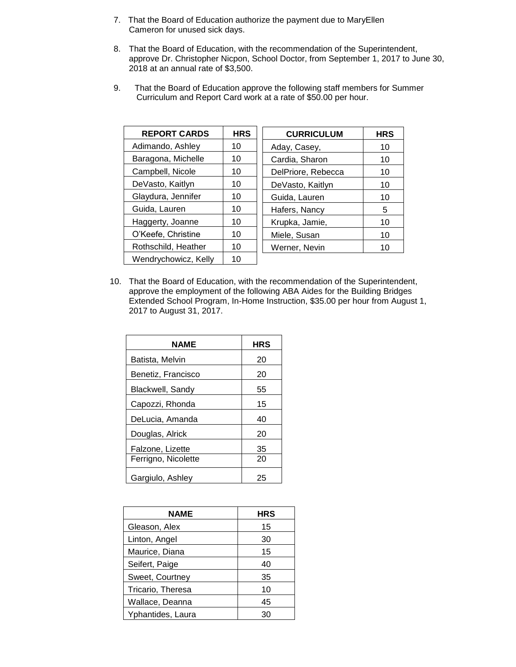- 7. That the Board of Education authorize the payment due to MaryEllen Cameron for unused sick days.
- 8. That the Board of Education, with the recommendation of the Superintendent, approve Dr. Christopher Nicpon, School Doctor, from September 1, 2017 to June 30, 2018 at an annual rate of \$3,500.
- 9. That the Board of Education approve the following staff members for Summer Curriculum and Report Card work at a rate of \$50.00 per hour.

| <b>REPORT CARDS</b>  | <b>HRS</b> | <b>CURRICULUM</b>  | <b>HRS</b> |
|----------------------|------------|--------------------|------------|
| Adimando, Ashley     | 10         | Aday, Casey,       | 10         |
| Baragona, Michelle   | 10         | Cardia, Sharon     | 10         |
| Campbell, Nicole     | 10         | DelPriore, Rebecca | 10         |
| DeVasto, Kaitlyn     | 10         | DeVasto, Kaitlyn   | 10         |
| Glaydura, Jennifer   | 10         | Guida, Lauren      | 10         |
| Guida, Lauren        | 10         | Hafers, Nancy      | 5          |
| Haggerty, Joanne     | 10         | Krupka, Jamie,     | 10         |
| O'Keefe, Christine   | 10         | Miele, Susan       | 10         |
| Rothschild, Heather  | 10         | Werner, Nevin      | 10         |
| Wendrychowicz, Kelly | 10         |                    |            |

 10. That the Board of Education, with the recommendation of the Superintendent, approve the employment of the following ABA Aides for the Building Bridges Extended School Program, In-Home Instruction, \$35.00 per hour from August 1, 2017 to August 31, 2017.

| <b>NAME</b>         | <b>HRS</b> |
|---------------------|------------|
| Batista, Melvin     | 20         |
| Benetiz, Francisco  | 20         |
| Blackwell, Sandy    | 55         |
| Capozzi, Rhonda     | 15         |
| DeLucia, Amanda     | 40         |
| Douglas, Alrick     | 20         |
| Falzone, Lizette    | 35         |
| Ferrigno, Nicolette | 20         |
| Gargiulo, Ashley    | 25         |

| <b>NAME</b>       | <b>HRS</b> |
|-------------------|------------|
| Gleason, Alex     | 15         |
| Linton, Angel     | 30         |
| Maurice, Diana    | 15         |
| Seifert, Paige    | 40         |
| Sweet, Courtney   | 35         |
| Tricario, Theresa | 10         |
| Wallace, Deanna   | 45         |
| Yphantides, Laura | २८         |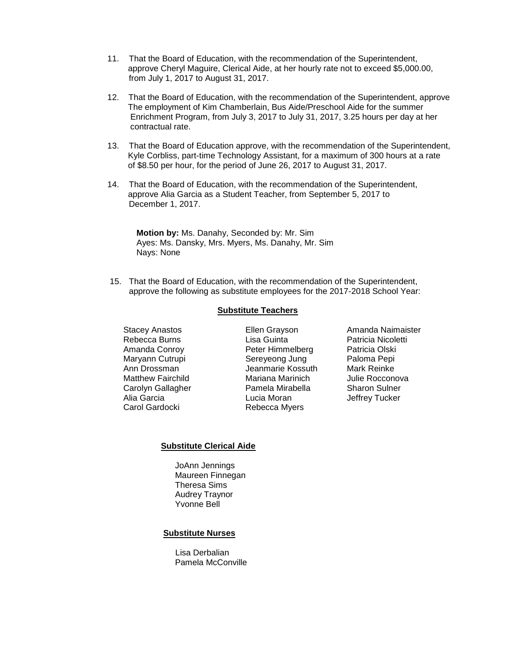- 11. That the Board of Education, with the recommendation of the Superintendent, approve Cheryl Maguire, Clerical Aide, at her hourly rate not to exceed \$5,000.00, from July 1, 2017 to August 31, 2017.
- 12. That the Board of Education, with the recommendation of the Superintendent, approve The employment of Kim Chamberlain, Bus Aide/Preschool Aide for the summer Enrichment Program, from July 3, 2017 to July 31, 2017, 3.25 hours per day at her contractual rate.
- 13. That the Board of Education approve, with the recommendation of the Superintendent, Kyle Corbliss, part-time Technology Assistant, for a maximum of 300 hours at a rate of \$8.50 per hour, for the period of June 26, 2017 to August 31, 2017.
- 14. That the Board of Education, with the recommendation of the Superintendent, approve Alia Garcia as a Student Teacher, from September 5, 2017 to December 1, 2017.

**Motion by:** Ms. Danahy, Seconded by: Mr. Sim Ayes: Ms. Dansky, Mrs. Myers, Ms. Danahy, Mr. Sim Nays: None

 15. That the Board of Education, with the recommendation of the Superintendent, approve the following as substitute employees for the 2017-2018 School Year:

### **Substitute Teachers**

 Stacey Anastos Rebecca Burns Amanda Conroy Maryann Cutrupi Ann Drossman Matthew Fairchild Carolyn Gallagher Alia Garcia Carol Gardocki

Ellen Grayson Lisa Guinta Peter Himmelberg Sereyeong Jung Jeanmarie Kossuth Mariana Marinich Pamela Mirabella Lucia Moran Rebecca Myers

 Amanda Naimaister Patricia Nicoletti Patricia Olski Paloma Pepi Mark Reinke Julie Rocconova Sharon Sulner Jeffrey Tucker

#### **Substitute Clerical Aide**

 JoAnn Jennings Maureen Finnegan Theresa Sims Audrey Traynor Yvonne Bell

### **Substitute Nurses**

 Lisa Derbalian Pamela McConville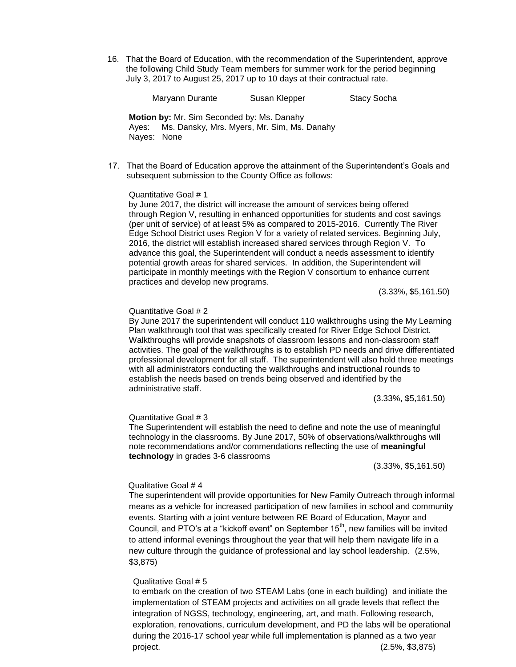16. That the Board of Education, with the recommendation of the Superintendent, approve the following Child Study Team members for summer work for the period beginning July 3, 2017 to August 25, 2017 up to 10 days at their contractual rate.

**Maryann Durante Susan Klepper Stacy Socha** 

**Motion by:** Mr. Sim Seconded by: Ms. Danahy Ayes: Ms. Dansky, Mrs. Myers, Mr. Sim, Ms. Danahy Nayes: None

 17. That the Board of Education approve the attainment of the Superintendent's Goals and subsequent submission to the County Office as follows:

#### Quantitative Goal # 1

 by June 2017, the district will increase the amount of services being offered through Region V, resulting in enhanced opportunities for students and cost savings (per unit of service) of at least 5% as compared to 2015-2016. Currently The River Edge School District uses Region V for a variety of related services. Beginning July, 2016, the district will establish increased shared services through Region V. To advance this goal, the Superintendent will conduct a needs assessment to identify potential growth areas for shared services. In addition, the Superintendent will participate in monthly meetings with the Region V consortium to enhance current practices and develop new programs.

(3.33%, \$5,161.50)

### Quantitative Goal # 2

By June 2017 the superintendent will conduct 110 walkthroughs using the My Learning Plan walkthrough tool that was specifically created for River Edge School District. Walkthroughs will provide snapshots of classroom lessons and non-classroom staff activities. The goal of the walkthroughs is to establish PD needs and drive differentiated professional development for all staff. The superintendent will also hold three meetings with all administrators conducting the walkthroughs and instructional rounds to establish the needs based on trends being observed and identified by the administrative staff.

(3.33%, \$5,161.50)

Quantitative Goal # 3

The Superintendent will establish the need to define and note the use of meaningful technology in the classrooms. By June 2017, 50% of observations/walkthroughs will note recommendations and/or commendations reflecting the use of **meaningful technology** in grades 3-6 classrooms

(3.33%, \$5,161.50)

#### Qualitative Goal # 4

The superintendent will provide opportunities for New Family Outreach through informal means as a vehicle for increased participation of new families in school and community events. Starting with a joint venture between RE Board of Education, Mayor and Council, and PTO's at a "kickoff event" on September  $15<sup>th</sup>$ , new families will be invited to attend informal evenings throughout the year that will help them navigate life in a new culture through the guidance of professional and lay school leadership. (2.5%, \$3,875)

#### Qualitative Goal # 5

to embark on the creation of two STEAM Labs (one in each building) and initiate the implementation of STEAM projects and activities on all grade levels that reflect the integration of NGSS, technology, engineering, art, and math. Following research, exploration, renovations, curriculum development, and PD the labs will be operational during the 2016-17 school year while full implementation is planned as a two year project. (2.5%, \$3,875)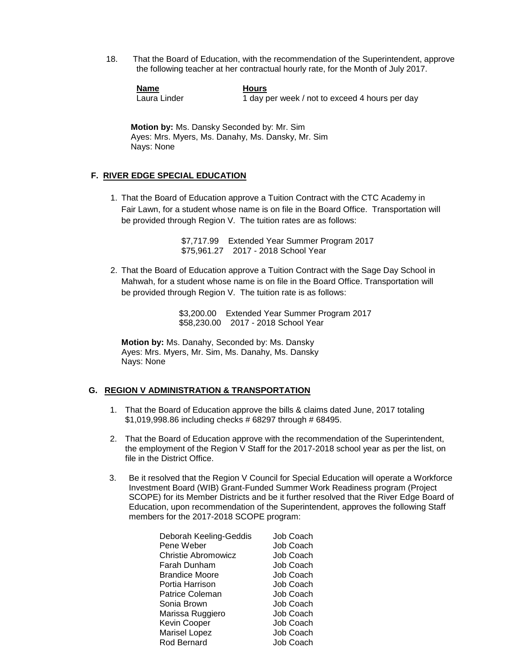18. That the Board of Education, with the recommendation of the Superintendent, approve the following teacher at her contractual hourly rate, for the Month of July 2017.

| Name         | <b>Hours</b>                                   |
|--------------|------------------------------------------------|
| Laura Linder | 1 day per week / not to exceed 4 hours per day |

 **Motion by:** Ms. Dansky Seconded by: Mr. Sim Ayes: Mrs. Myers, Ms. Danahy, Ms. Dansky, Mr. Sim Nays: None

### **F. RIVER EDGE SPECIAL EDUCATION**

1. That the Board of Education approve a Tuition Contract with the CTC Academy in Fair Lawn, for a student whose name is on file in the Board Office. Transportation will be provided through Region V. The tuition rates are as follows:

> \$7,717.99 Extended Year Summer Program 2017 \$75,961.27 2017 - 2018 School Year

2. That the Board of Education approve a Tuition Contract with the Sage Day School in Mahwah, for a student whose name is on file in the Board Office. Transportation will be provided through Region V. The tuition rate is as follows:

> \$3,200.00 Extended Year Summer Program 2017 \$58,230.00 2017 - 2018 School Year

 **Motion by:** Ms. Danahy, Seconded by: Ms. Dansky Ayes: Mrs. Myers, Mr. Sim, Ms. Danahy, Ms. Dansky Nays: None

### **G. REGION V ADMINISTRATION & TRANSPORTATION**

- 1. That the Board of Education approve the bills & claims dated June, 2017 totaling \$1,019,998.86 including checks # 68297 through # 68495.
- 2. That the Board of Education approve with the recommendation of the Superintendent, the employment of the Region V Staff for the 2017-2018 school year as per the list, on file in the District Office.
- 3. Be it resolved that the Region V Council for Special Education will operate a Workforce Investment Board (WIB) Grant-Funded Summer Work Readiness program (Project SCOPE) for its Member Districts and be it further resolved that the River Edge Board of Education, upon recommendation of the Superintendent, approves the following Staff members for the 2017-2018 SCOPE program:

| Deborah Keeling-Geddis | Job Coach |
|------------------------|-----------|
| Pene Weber             | Job Coach |
| Christie Abromowicz    | Job Coach |
| Farah Dunham           | Job Coach |
| <b>Brandice Moore</b>  | Job Coach |
| Portia Harrison        | Job Coach |
| Patrice Coleman        | Job Coach |
| Sonia Brown            | Job Coach |
| Marissa Ruggiero       | Job Coach |
| Kevin Cooper           | Job Coach |
| <b>Marisel Lopez</b>   | Job Coach |
| Rod Bernard            | Job Coach |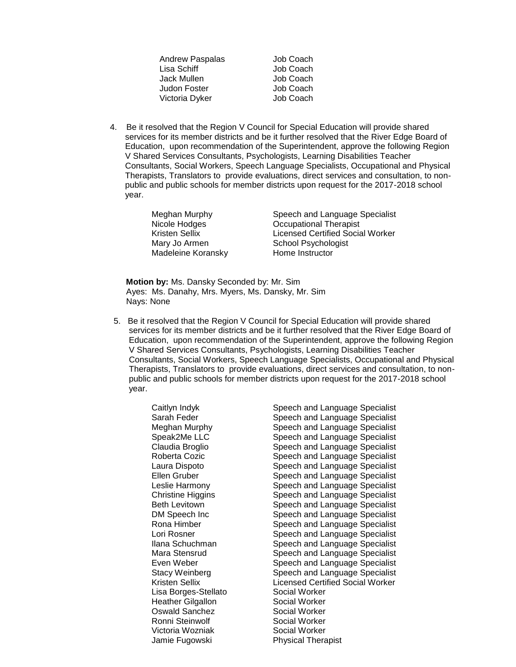| Andrew Paspalas | Job Coach |
|-----------------|-----------|
| Lisa Schiff     | Job Coach |
| Jack Mullen.    | Job Coach |
| Judon Foster    | Job Coach |
| Victoria Dyker  | Job Coach |

4. Be it resolved that the Region V Council for Special Education will provide shared services for its member districts and be it further resolved that the River Edge Board of Education, upon recommendation of the Superintendent, approve the following Region V Shared Services Consultants, Psychologists, Learning Disabilities Teacher Consultants, Social Workers, Speech Language Specialists, Occupational and Physical Therapists, Translators to provide evaluations, direct services and consultation, to nonpublic and public schools for member districts upon request for the 2017-2018 school year.

> Meghan Murphy **Speech and Language Specialist**<br>Nicole Hodges **Superset Container Occupational Therapist** Occupational Therapist Kristen Sellix Licensed Certified Social Worker Mary Jo Armen School Psychologist Madeleine Koransky<br>
> Home Instructor

 **Motion by:** Ms. Dansky Seconded by: Mr. Sim Ayes: Ms. Danahy, Mrs. Myers, Ms. Dansky, Mr. Sim Nays: None

5. Be it resolved that the Region V Council for Special Education will provide shared services for its member districts and be it further resolved that the River Edge Board of Education, upon recommendation of the Superintendent, approve the following Region V Shared Services Consultants, Psychologists, Learning Disabilities Teacher Consultants, Social Workers, Speech Language Specialists, Occupational and Physical Therapists, Translators to provide evaluations, direct services and consultation, to nonpublic and public schools for member districts upon request for the 2017-2018 school year.

| Caitlyn Indyk        | Speech and Language Specialist   |
|----------------------|----------------------------------|
| Sarah Feder          | Speech and Language Specialist   |
| Meghan Murphy        | Speech and Language Specialist   |
| Speak2Me LLC         | Speech and Language Specialist   |
| Claudia Broglio      | Speech and Language Specialist   |
| Roberta Cozic        | Speech and Language Specialist   |
| Laura Dispoto        | Speech and Language Specialist   |
| Ellen Gruber         | Speech and Language Specialist   |
| Leslie Harmony       | Speech and Language Specialist   |
| Christine Higgins    | Speech and Language Specialist   |
| <b>Beth Levitown</b> | Speech and Language Specialist   |
| DM Speech Inc        | Speech and Language Specialist   |
| Rona Himber          | Speech and Language Specialist   |
| Lori Rosner          | Speech and Language Specialist   |
| Ilana Schuchman      | Speech and Language Specialist   |
| Mara Stensrud        | Speech and Language Specialist   |
| Even Weber           | Speech and Language Specialist   |
| Stacy Weinberg       | Speech and Language Specialist   |
| Kristen Sellix       | Licensed Certified Social Worker |
| Lisa Borges-Stellato | Social Worker                    |
| Heather Gilgallon    | Social Worker                    |
| Oswald Sanchez       | Social Worker                    |
| Ronni Steinwolf      | Social Worker                    |
| Victoria Wozniak     | Social Worker                    |
| Jamie Fugowski       | <b>Physical Therapist</b>        |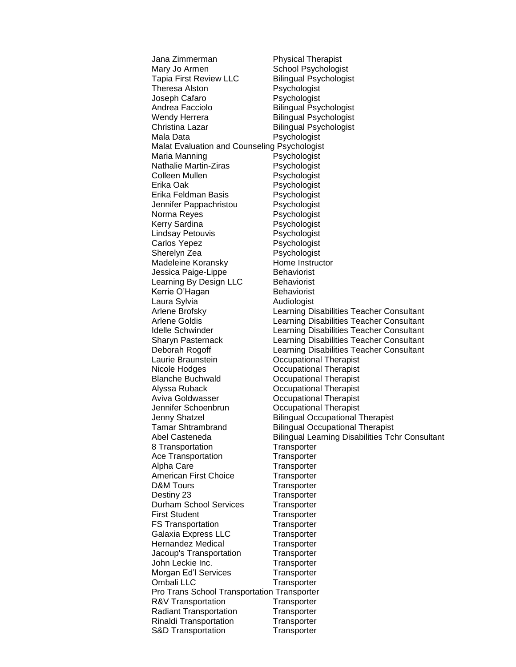Jana Zimmerman Physical Therapist Mary Jo Armen School Psychologist Tapia First Review LLC Bilingual Psychologist Theresa Alston **Psychologist** Joseph Cafaro **Psychologist** Andrea Facciolo Bilingual Psychologist Wendy Herrera Bilingual Psychologist Christina Lazar Bilingual Psychologist Psychologist Malat Evaluation and Counseling Psychologist Maria Manning Psychologist Nathalie Martin-Ziras Psychologist Colleen Mullen **Psychologist** Erika Oak Psychologist Erika Feldman Basis Psychologist Jennifer Pappachristou Psychologist Norma Reyes **Psychologist** Kerry Sardina Psychologist Lindsay Petouvis **P**sychologist Carlos Yepez Psychologist Sherelyn Zea Psychologist Madeleine Koransky<br>
Home Instructor Jessica Paige-Lippe Behaviorist Learning By Design LLC Behaviorist Kerrie O'Hagan Behaviorist Laura Sylvia **Audiologist** Arlene Brofsky Learning Disabilities Teacher Consultant Arlene Goldis Learning Disabilities Teacher Consultant Idelle Schwinder Learning Disabilities Teacher Consultant Sharyn Pasternack Learning Disabilities Teacher Consultant Deborah Rogoff Learning Disabilities Teacher Consultant Laurie Braunstein Occupational Therapist Nicole Hodges **Occupational Therapist** Blanche Buchwald Occupational Therapist Alyssa Ruback Occupational Therapist Aviva Goldwasser Occupational Therapist Jennifer Schoenbrun Occupational Therapist Jenny Shatzel **Bilingual Occupational Therapist** Tamar Shtrambrand Bilingual Occupational Therapist Abel Casteneda Bilingual Learning Disabilities Tchr Consultant 8 Transportation Transporter Ace Transportation Transporter Alpha Care Transporter American First Choice Transporter D&M Tours Transporter Destiny 23 Transporter Durham School Services Transporter First Student Transporter FS Transportation Transporter Galaxia Express LLC Transporter Hernandez Medical **Transporter** Jacoup's Transportation Transporter John Leckie Inc. Transporter Morgan Ed'l Services Transporter Ombali LLC Transporter Pro Trans School Transportation Transporter R&V Transportation Transporter Radiant Transportation Transporter Rinaldi Transportation Transporter S&D Transportation Transporter